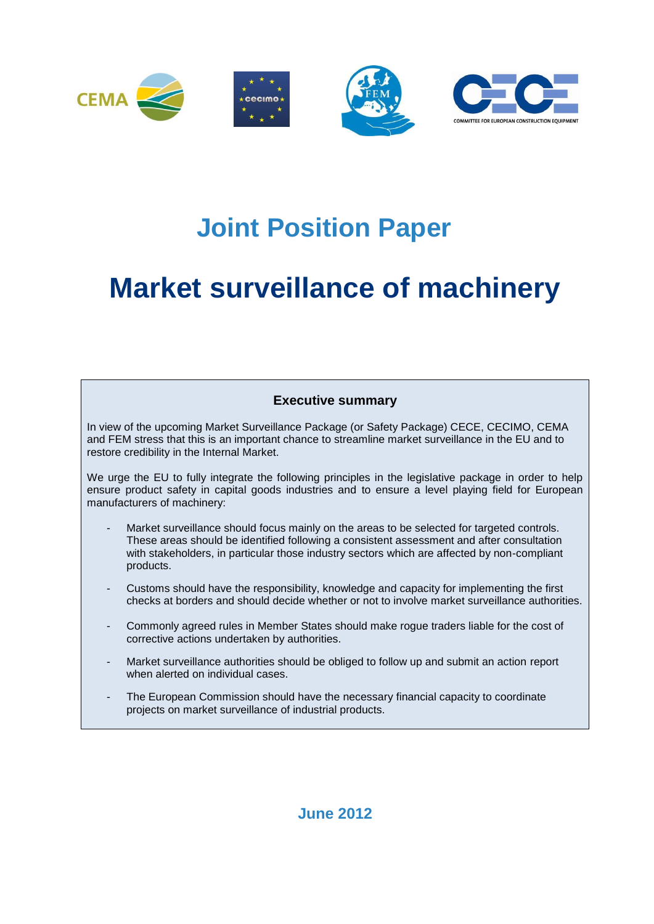

## **Joint Position Paper**

# **Market surveillance of machinery**

### **Executive summary**

In view of the upcoming Market Surveillance Package (or Safety Package) CECE, CECIMO, CEMA and FEM stress that this is an important chance to streamline market surveillance in the EU and to restore credibility in the Internal Market.

We urge the EU to fully integrate the following principles in the legislative package in order to help ensure product safety in capital goods industries and to ensure a level playing field for European manufacturers of machinery:

- Market surveillance should focus mainly on the areas to be selected for targeted controls. These areas should be identified following a consistent assessment and after consultation with stakeholders, in particular those industry sectors which are affected by non-compliant products.
- Customs should have the responsibility, knowledge and capacity for implementing the first checks at borders and should decide whether or not to involve market surveillance authorities.
- Commonly agreed rules in Member States should make rogue traders liable for the cost of corrective actions undertaken by authorities.
- Market surveillance authorities should be obliged to follow up and submit an action report when alerted on individual cases.
- The European Commission should have the necessary financial capacity to coordinate projects on market surveillance of industrial products.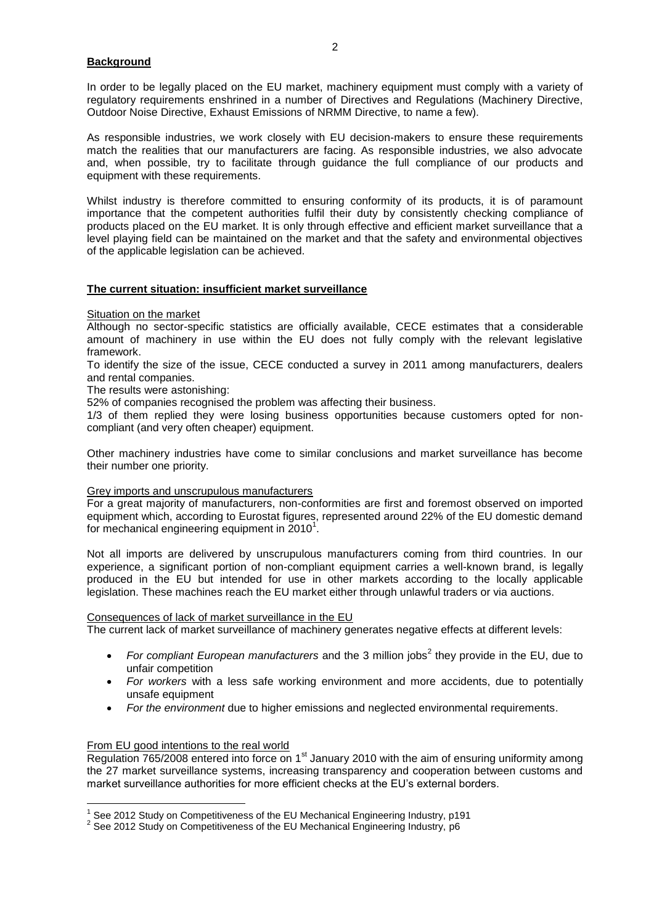#### **Background**

In order to be legally placed on the EU market, machinery equipment must comply with a variety of regulatory requirements enshrined in a number of Directives and Regulations (Machinery Directive, Outdoor Noise Directive, Exhaust Emissions of NRMM Directive, to name a few).

As responsible industries, we work closely with EU decision-makers to ensure these requirements match the realities that our manufacturers are facing. As responsible industries, we also advocate and, when possible, try to facilitate through guidance the full compliance of our products and equipment with these requirements.

Whilst industry is therefore committed to ensuring conformity of its products, it is of paramount importance that the competent authorities fulfil their duty by consistently checking compliance of products placed on the EU market. It is only through effective and efficient market surveillance that a level playing field can be maintained on the market and that the safety and environmental objectives of the applicable legislation can be achieved.

#### **The current situation: insufficient market surveillance**

Situation on the market

Although no sector-specific statistics are officially available, CECE estimates that a considerable amount of machinery in use within the EU does not fully comply with the relevant legislative framework.

To identify the size of the issue, CECE conducted a survey in 2011 among manufacturers, dealers and rental companies.

The results were astonishing:

52% of companies recognised the problem was affecting their business.

1/3 of them replied they were losing business opportunities because customers opted for noncompliant (and very often cheaper) equipment.

Other machinery industries have come to similar conclusions and market surveillance has become their number one priority.

#### Grey imports and unscrupulous manufacturers

For a great majority of manufacturers, non-conformities are first and foremost observed on imported equipment which, according to Eurostat figures, represented around 22% of the EU domestic demand for mechanical engineering equipment in  $2010^1$ .

Not all imports are delivered by unscrupulous manufacturers coming from third countries. In our experience, a significant portion of non-compliant equipment carries a well-known brand, is legally produced in the EU but intended for use in other markets according to the locally applicable legislation. These machines reach the EU market either through unlawful traders or via auctions.

#### Consequences of lack of market surveillance in the EU

The current lack of market surveillance of machinery generates negative effects at different levels:

- For compliant European manufacturers and the 3 million jobs<sup>2</sup> they provide in the EU, due to unfair competition
- *For workers* with a less safe working environment and more accidents, due to potentially unsafe equipment
- *For the environment* due to higher emissions and neglected environmental requirements.

#### From EU good intentions to the real world

Regulation 765/2008 entered into force on  $1<sup>st</sup>$  January 2010 with the aim of ensuring uniformity among the 27 market surveillance systems, increasing transparency and cooperation between customs and market surveillance authorities for more efficient checks at the EU's external borders.

 $\overline{a}$  $1$  See 2012 Study on Competitiveness of the EU Mechanical Engineering Industry, p191

 $2$  See 2012 Study on Competitiveness of the EU Mechanical Engineering Industry, p6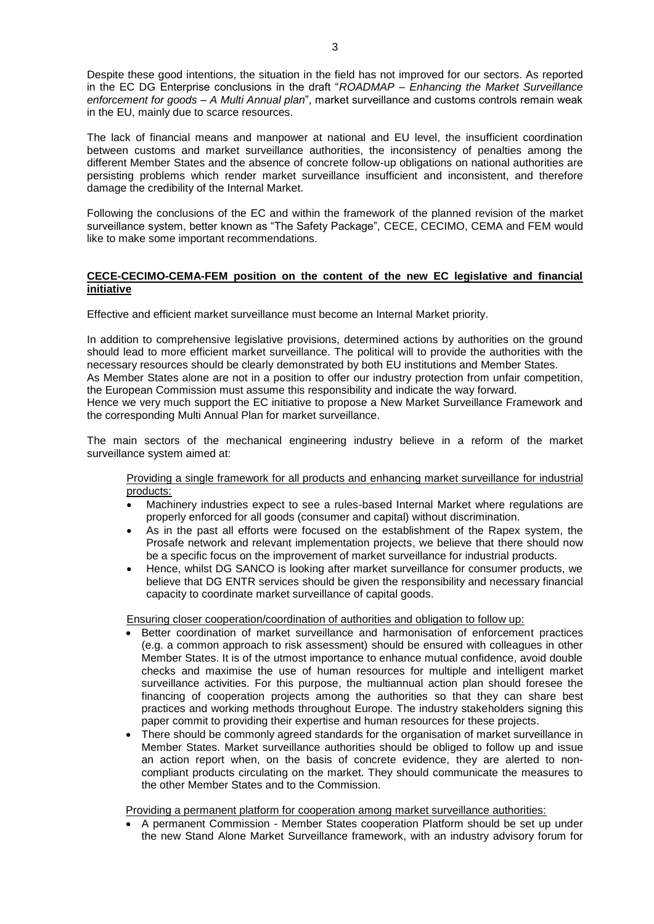Despite these good intentions, the situation in the field has not improved for our sectors. As reported in the EC DG Enterprise conclusions in the draft "*ROADMAP – Enhancing the Market Surveillance enforcement for goods – A Multi Annual plan*", market surveillance and customs controls remain weak in the EU, mainly due to scarce resources.

The lack of financial means and manpower at national and EU level, the insufficient coordination between customs and market surveillance authorities, the inconsistency of penalties among the different Member States and the absence of concrete follow-up obligations on national authorities are persisting problems which render market surveillance insufficient and inconsistent, and therefore damage the credibility of the Internal Market.

Following the conclusions of the EC and within the framework of the planned revision of the market surveillance system, better known as "The Safety Package", CECE, CECIMO, CEMA and FEM would like to make some important recommendations.

#### **CECE-CECIMO-CEMA-FEM position on the content of the new EC legislative and financial initiative**

Effective and efficient market surveillance must become an Internal Market priority.

In addition to comprehensive legislative provisions, determined actions by authorities on the ground should lead to more efficient market surveillance. The political will to provide the authorities with the necessary resources should be clearly demonstrated by both EU institutions and Member States.

As Member States alone are not in a position to offer our industry protection from unfair competition, the European Commission must assume this responsibility and indicate the way forward.

Hence we very much support the EC initiative to propose a New Market Surveillance Framework and the corresponding Multi Annual Plan for market surveillance.

The main sectors of the mechanical engineering industry believe in a reform of the market surveillance system aimed at:

Providing a single framework for all products and enhancing market surveillance for industrial products:

- Machinery industries expect to see a rules-based Internal Market where regulations are properly enforced for all goods (consumer and capital) without discrimination.
- As in the past all efforts were focused on the establishment of the Rapex system, the Prosafe network and relevant implementation projects, we believe that there should now be a specific focus on the improvement of market surveillance for industrial products.
- Hence, whilst DG SANCO is looking after market surveillance for consumer products, we believe that DG ENTR services should be given the responsibility and necessary financial capacity to coordinate market surveillance of capital goods.

Ensuring closer cooperation/coordination of authorities and obligation to follow up:

- Better coordination of market surveillance and harmonisation of enforcement practices (e.g. a common approach to risk assessment) should be ensured with colleagues in other Member States. It is of the utmost importance to enhance mutual confidence, avoid double checks and maximise the use of human resources for multiple and intelligent market surveillance activities. For this purpose, the multiannual action plan should foresee the financing of cooperation projects among the authorities so that they can share best practices and working methods throughout Europe. The industry stakeholders signing this paper commit to providing their expertise and human resources for these projects.
- There should be commonly agreed standards for the organisation of market surveillance in Member States. Market surveillance authorities should be obliged to follow up and issue an action report when, on the basis of concrete evidence, they are alerted to noncompliant products circulating on the market. They should communicate the measures to the other Member States and to the Commission.

Providing a permanent platform for cooperation among market surveillance authorities:

• A permanent Commission - Member States cooperation Platform should be set up under the new Stand Alone Market Surveillance framework, with an industry advisory forum for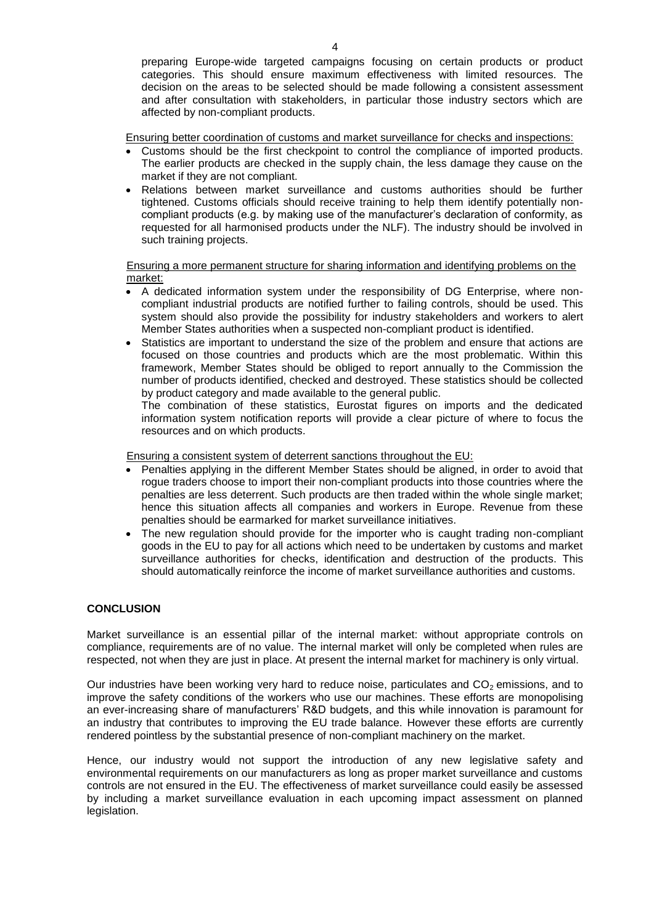preparing Europe-wide targeted campaigns focusing on certain products or product categories. This should ensure maximum effectiveness with limited resources. The decision on the areas to be selected should be made following a consistent assessment and after consultation with stakeholders, in particular those industry sectors which are affected by non-compliant products.

Ensuring better coordination of customs and market surveillance for checks and inspections:

- Customs should be the first checkpoint to control the compliance of imported products. The earlier products are checked in the supply chain, the less damage they cause on the market if they are not compliant.
- Relations between market surveillance and customs authorities should be further tightened. Customs officials should receive training to help them identify potentially noncompliant products (e.g. by making use of the manufacturer's declaration of conformity, as requested for all harmonised products under the NLF). The industry should be involved in such training projects.

#### Ensuring a more permanent structure for sharing information and identifying problems on the market:

- A dedicated information system under the responsibility of DG Enterprise, where noncompliant industrial products are notified further to failing controls, should be used. This system should also provide the possibility for industry stakeholders and workers to alert Member States authorities when a suspected non-compliant product is identified.
- Statistics are important to understand the size of the problem and ensure that actions are focused on those countries and products which are the most problematic. Within this framework, Member States should be obliged to report annually to the Commission the number of products identified, checked and destroyed. These statistics should be collected by product category and made available to the general public.

The combination of these statistics, Eurostat figures on imports and the dedicated information system notification reports will provide a clear picture of where to focus the resources and on which products.

Ensuring a consistent system of deterrent sanctions throughout the EU:

- Penalties applying in the different Member States should be aligned, in order to avoid that rogue traders choose to import their non-compliant products into those countries where the penalties are less deterrent. Such products are then traded within the whole single market; hence this situation affects all companies and workers in Europe. Revenue from these penalties should be earmarked for market surveillance initiatives.
- The new regulation should provide for the importer who is caught trading non-compliant goods in the EU to pay for all actions which need to be undertaken by customs and market surveillance authorities for checks, identification and destruction of the products. This should automatically reinforce the income of market surveillance authorities and customs.

#### **CONCLUSION**

Market surveillance is an essential pillar of the internal market: without appropriate controls on compliance, requirements are of no value. The internal market will only be completed when rules are respected, not when they are just in place. At present the internal market for machinery is only virtual.

Our industries have been working very hard to reduce noise, particulates and  $CO<sub>2</sub>$  emissions, and to improve the safety conditions of the workers who use our machines. These efforts are monopolising an ever-increasing share of manufacturers' R&D budgets, and this while innovation is paramount for an industry that contributes to improving the EU trade balance. However these efforts are currently rendered pointless by the substantial presence of non-compliant machinery on the market.

Hence, our industry would not support the introduction of any new legislative safety and environmental requirements on our manufacturers as long as proper market surveillance and customs controls are not ensured in the EU. The effectiveness of market surveillance could easily be assessed by including a market surveillance evaluation in each upcoming impact assessment on planned legislation.